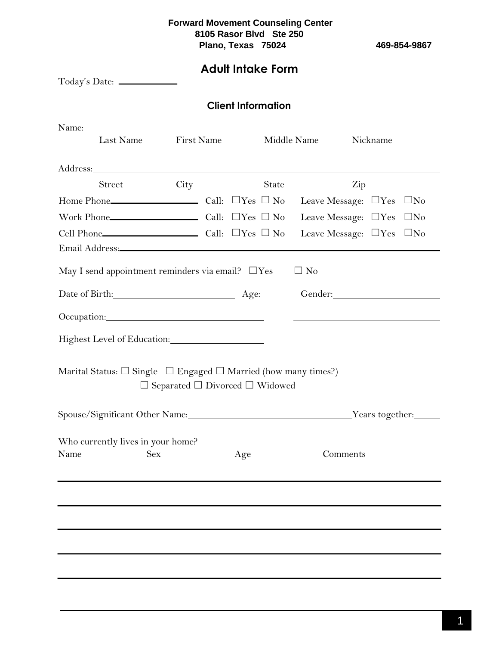# **Adult Intake Form**

|      |                                                                                                                                                                                                                                |      | <b>Client Information</b>                       |       |             |                                                    |  |
|------|--------------------------------------------------------------------------------------------------------------------------------------------------------------------------------------------------------------------------------|------|-------------------------------------------------|-------|-------------|----------------------------------------------------|--|
|      |                                                                                                                                                                                                                                |      |                                                 |       |             |                                                    |  |
|      | Last Name First Name                                                                                                                                                                                                           |      |                                                 |       | Middle Name | Nickname                                           |  |
|      |                                                                                                                                                                                                                                |      |                                                 |       |             |                                                    |  |
|      | Street                                                                                                                                                                                                                         | City |                                                 | State |             | Zip                                                |  |
|      |                                                                                                                                                                                                                                |      |                                                 |       |             | Leave Message: $\square$ Yes $\square$ No          |  |
|      |                                                                                                                                                                                                                                |      |                                                 |       |             | Leave Message: $\Box$ Yes $\Box$ No                |  |
|      |                                                                                                                                                                                                                                |      |                                                 |       |             | Leave Message: $\Box$ Yes $\Box$ No                |  |
|      | Email Address: North and South Address:                                                                                                                                                                                        |      |                                                 |       |             |                                                    |  |
|      | May I send appointment reminders via email? $\Box$ Yes                                                                                                                                                                         |      |                                                 |       | $\Box$ No   |                                                    |  |
|      | Date of Birth: Age:                                                                                                                                                                                                            |      |                                                 |       |             |                                                    |  |
|      | Occupation: New York Contract Contract Contract Contract Contract Contract Contract Contract Contract Contract Contract Contract Contract Contract Contract Contract Contract Contract Contract Contract Contract Contract Con |      |                                                 |       |             |                                                    |  |
|      | Highest Level of Education:                                                                                                                                                                                                    |      |                                                 |       |             | <u> 1989 - John Stein, Amerikaansk politiker (</u> |  |
|      | Marital Status: $\square$ Single $\square$ Engaged $\square$ Married (how many times?)                                                                                                                                         |      | $\Box$ Separated $\Box$ Divorced $\Box$ Widowed |       |             |                                                    |  |
|      | Spouse/Significant Other Name: Vears together: Vears together:                                                                                                                                                                 |      |                                                 |       |             |                                                    |  |
| Name | Who currently lives in your home?<br><b>Sex</b>                                                                                                                                                                                |      | Age                                             |       |             | Comments                                           |  |
|      |                                                                                                                                                                                                                                |      |                                                 |       |             |                                                    |  |
|      |                                                                                                                                                                                                                                |      |                                                 |       |             |                                                    |  |
|      |                                                                                                                                                                                                                                |      |                                                 |       |             |                                                    |  |
|      |                                                                                                                                                                                                                                |      |                                                 |       |             |                                                    |  |
|      |                                                                                                                                                                                                                                |      |                                                 |       |             |                                                    |  |
|      |                                                                                                                                                                                                                                |      |                                                 |       |             |                                                    |  |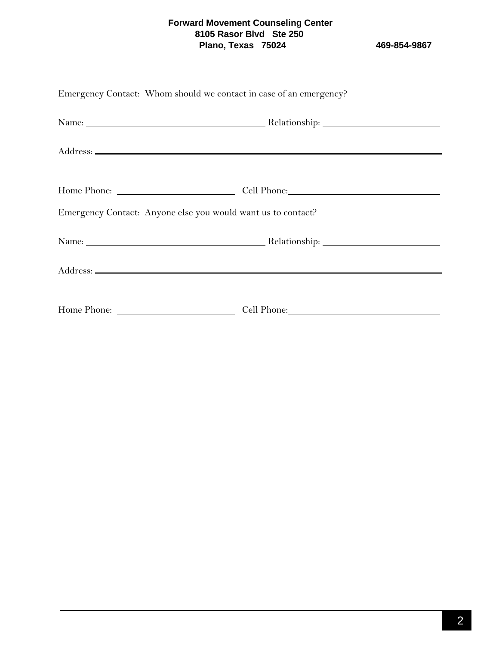| Emergency Contact: Whom should we contact in case of an emergency? |  |
|--------------------------------------------------------------------|--|
|                                                                    |  |
|                                                                    |  |
|                                                                    |  |
| Emergency Contact: Anyone else you would want us to contact?       |  |
|                                                                    |  |
|                                                                    |  |
|                                                                    |  |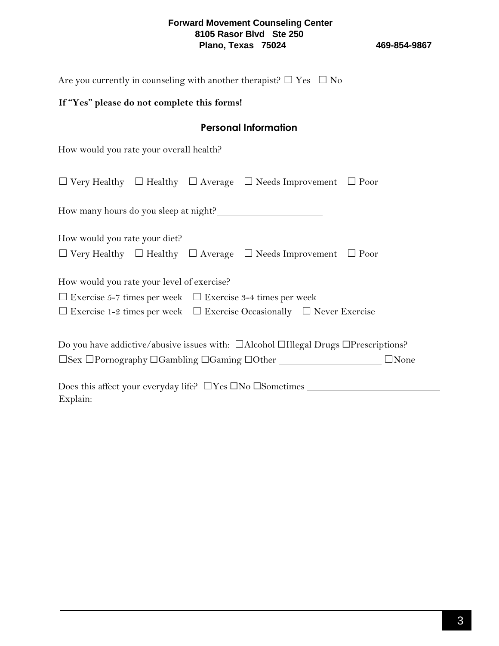Are you currently in counseling with another therapist?  $\Box$  Yes  $\Box$  No

### **If "Yes" please do not complete this forms!**

## **Personal Information**

How would you rate your overall health?

Explain:

| $\Box$ Very Healthy $\Box$ Healthy $\Box$ Average $\Box$ Needs Improvement $\Box$ Poor                    |  |  |  |  |  |  |
|-----------------------------------------------------------------------------------------------------------|--|--|--|--|--|--|
| How many hours do you sleep at night?                                                                     |  |  |  |  |  |  |
| How would you rate your diet?                                                                             |  |  |  |  |  |  |
| $\Box$ Very Healthy $\Box$ Healthy $\Box$ Average $\Box$ Needs Improvement $\Box$ Poor                    |  |  |  |  |  |  |
| How would you rate your level of exercise?                                                                |  |  |  |  |  |  |
| $\Box$ Exercise 5-7 times per week $\Box$ Exercise 3-4 times per week                                     |  |  |  |  |  |  |
| $\Box$ Exercise 1-2 times per week $\Box$ Exercise Occasionally $\Box$ Never Exercise                     |  |  |  |  |  |  |
| Do you have addictive/abusive issues with: $\Box$ Alcohol $\Box$ Illegal Drugs $\Box$ Prescriptions?      |  |  |  |  |  |  |
| $\square$ Sex $\square$ Pornography $\square$ Gambling $\square$ Gaming $\square$ Other<br>$\square$ None |  |  |  |  |  |  |
| Does this affect your everyday life? $\Box$ Yes $\Box$ No $\Box$ Sometimes $\_\_$                         |  |  |  |  |  |  |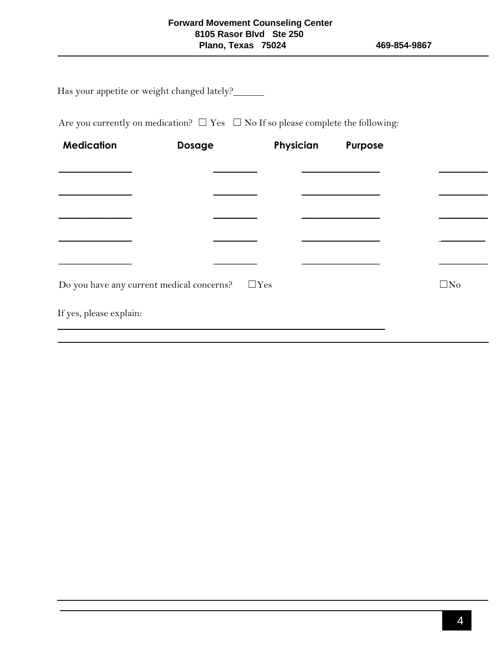Has your appetite or weight changed lately?

Are you currently on medication?  $\Box$  Yes  $\Box$  No If so please complete the following:

| <b>Medication</b>       | Dosage                                                  | Physician | Purpose |              |
|-------------------------|---------------------------------------------------------|-----------|---------|--------------|
|                         |                                                         |           |         |              |
|                         |                                                         |           |         |              |
|                         |                                                         |           |         |              |
|                         |                                                         |           |         |              |
|                         |                                                         |           |         |              |
|                         |                                                         |           |         |              |
|                         | Do you have any current medical concerns? $\square$ Yes |           |         | $\square$ No |
| If yes, please explain: |                                                         |           |         |              |
|                         |                                                         |           |         |              |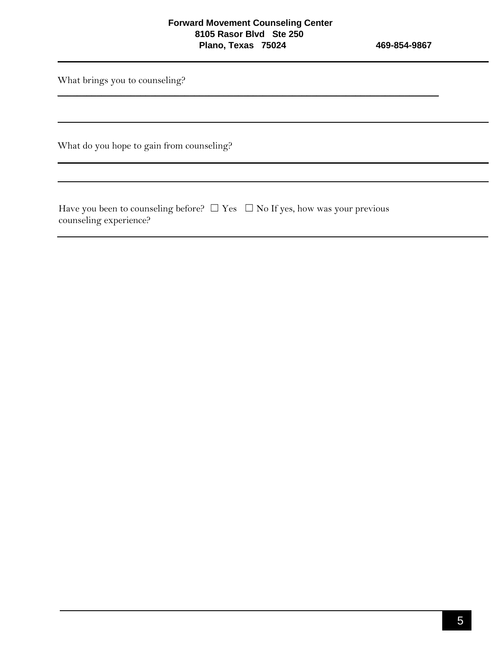$\_$  , and the contribution of the contribution of  $\mathcal{L}_\mathcal{A}$  , and the contribution of  $\mathcal{L}_\mathcal{A}$ 

What brings you to counseling?

What do you hope to gain from counseling?

Have you been to counseling before?  $\Box$  Yes  $\Box$  No If yes, how was your previous counseling experience?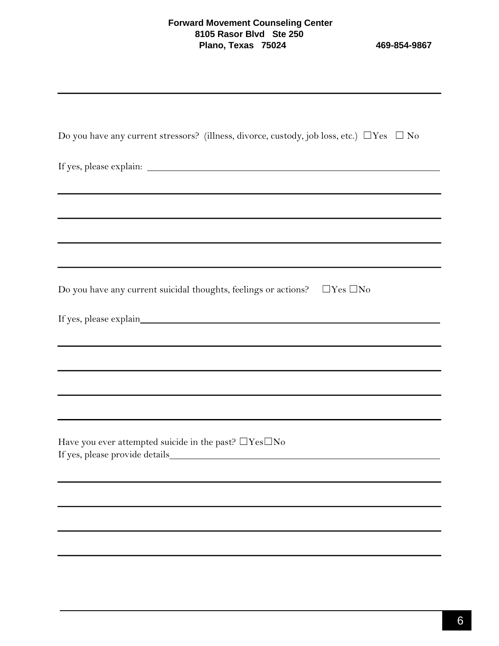| Do you have any current stressors? (illness, divorce, custody, job loss, etc.) $\Box$ Yes $\Box$ No                                                                                                                           |
|-------------------------------------------------------------------------------------------------------------------------------------------------------------------------------------------------------------------------------|
|                                                                                                                                                                                                                               |
|                                                                                                                                                                                                                               |
|                                                                                                                                                                                                                               |
|                                                                                                                                                                                                                               |
| Do you have any current suicidal thoughts, feelings or actions? $\Box$ Yes $\Box$ No                                                                                                                                          |
|                                                                                                                                                                                                                               |
|                                                                                                                                                                                                                               |
| the control of the control of the control of the control of the control of the control of the control of the control of the control of the control of the control of the control of the control of the control of the control |
|                                                                                                                                                                                                                               |
| Have you ever attempted suicide in the past? $\Box$ Yes $\Box$ No                                                                                                                                                             |
|                                                                                                                                                                                                                               |
|                                                                                                                                                                                                                               |
|                                                                                                                                                                                                                               |
|                                                                                                                                                                                                                               |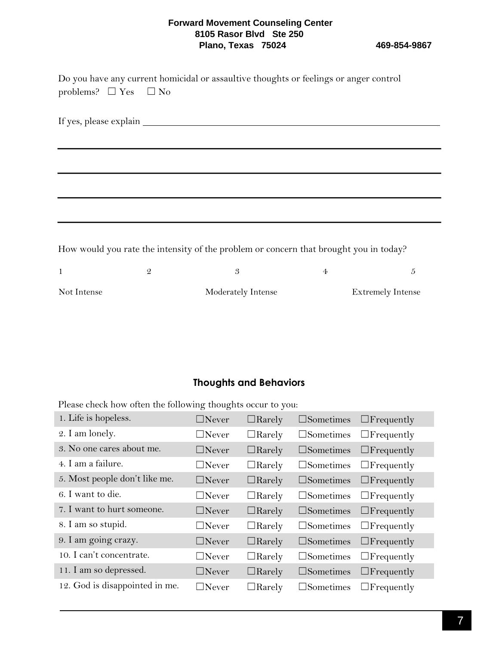| problems? $\Box$ Yes $\Box$ No |               | Do you have any current homicidal or assaultive thoughts or feelings or anger control |                |                          |
|--------------------------------|---------------|---------------------------------------------------------------------------------------|----------------|--------------------------|
|                                |               |                                                                                       |                |                          |
|                                |               |                                                                                       |                |                          |
|                                |               |                                                                                       |                |                          |
|                                |               |                                                                                       |                |                          |
|                                |               | How would you rate the intensity of the problem or concern that brought you in today? |                |                          |
| $\mathbf{1}$                   | $\mathcal{Q}$ | 3                                                                                     | $\overline{4}$ | 5                        |
| Not Intense                    |               | Moderately Intense                                                                    |                | <b>Extremely Intense</b> |

## **Thoughts and Behaviors**

Please check how often the following thoughts occur to you:

| 1. Life is hopeless.           | $\Box$ Never | $\Box$ Rarely |                     | $\square$ Sometimes $\square$ Frequently |
|--------------------------------|--------------|---------------|---------------------|------------------------------------------|
| 2. I am lonely.                | $\Box$ Never | $\Box$ Rarely |                     | $\square$ Sometimes $\square$ Frequently |
| 3. No one cares about me.      | $\Box$ Never | $\Box$ Rarely | $\square$ Sometimes | $\Box$ Frequently                        |
| 4. I am a failure.             | $\Box$ Never | $\Box$ Rarely |                     | $\square$ Sometimes $\square$ Frequently |
| 5. Most people don't like me.  | $\Box$ Never | $\Box$ Rarely |                     | $\square$ Sometimes $\square$ Frequently |
| 6. I want to die.              | $\Box$ Never | $\Box$ Rarely |                     | $\square$ Sometimes $\square$ Frequently |
| 7. I want to hurt someone.     | $\Box$ Never | $\Box$ Rarely |                     | $\square$ Sometimes $\square$ Frequently |
| 8. I am so stupid.             | $\Box$ Never | $\Box$ Rarely |                     | $\square$ Sometimes $\square$ Frequently |
| 9. I am going crazy.           | $\Box$ Never | $\Box$ Rarely |                     | $\square$ Sometimes $\square$ Frequently |
| 10. I can't concentrate.       | $\Box$ Never | $\Box$ Rarely |                     | $\square$ Sometimes $\square$ Frequently |
| 11. I am so depressed.         | $\Box$ Never | $\Box$ Rarely |                     | $\square$ Sometimes $\square$ Frequently |
| 12. God is disappointed in me. | $\Box$ Never | $\Box$ Rarely |                     | $\square$ Sometimes $\square$ Frequently |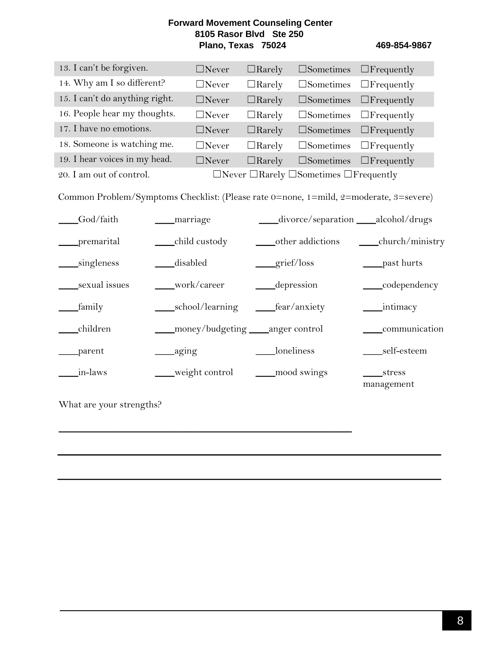| 13. I can't be forgiven.       | $\Box$ Never | $\Box$ Rarely | $\square$ Sometimes $\square$ Frequently                      |  |
|--------------------------------|--------------|---------------|---------------------------------------------------------------|--|
| 14. Why am I so different?     | $\Box$ Never | $\Box$ Rarely | $\square$ Sometimes $\square$ Frequently                      |  |
| 15. I can't do anything right. | $\Box$ Never | $\Box$ Rarely | $\square$ Sometimes $\square$ Frequently                      |  |
| 16. People hear my thoughts.   | $\Box$ Never | $\Box$ Rarely | $\square$ Sometimes $\square$ Frequently                      |  |
| 17. I have no emotions.        | $\Box$ Never | $\Box$ Rarely | $\square$ Sometimes $\square$ Frequently                      |  |
| 18. Someone is watching me.    | $\Box$ Never | $\Box$ Rarely | $\square$ Sometimes $\square$ Frequently                      |  |
| 19. I hear voices in my head.  | $\Box$ Never | $\Box$ Rarely | $\square$ Sometimes $\square$ Frequently                      |  |
| 20. I am out of control.       |              |               | $\Box$ Never $\Box$ Rarely $\Box$ Sometimes $\Box$ Frequently |  |

Common Problem/Symptoms Checklist: (Please rate 0=none, 1=mild, 2=moderate, 3=severe)

| God/faith     | _marriage                           | divorce/separation ____alcohol/drugs |                      |
|---------------|-------------------------------------|--------------------------------------|----------------------|
| _premarital   | child custody                       | other addictions                     | church/ministry      |
| singleness    | disabled                            | grief/loss                           | past hurts           |
| sexual issues | work/career                         | <i>depression</i>                    | ____codependency     |
| _family       | school/learning                     | fear/anxiety                         |                      |
| children      | ___money/budgeting ___anger control |                                      | communication        |
| _parent       | ___aging                            | loneliness                           | self-esteem          |
| in-laws       | weight control                      | mood swings                          | stress<br>management |

 $\mathcal{L}_\text{max}$  , and the contract of the contract of the contract of the contract of the contract of the contract of the contract of the contract of the contract of the contract of the contract of the contract of the contr

What are your strengths?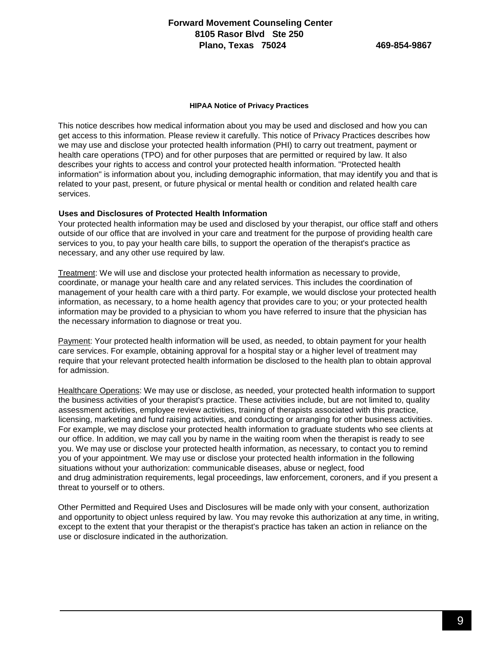#### **HIPAA Notice of Privacy Practices**

This notice describes how medical information about you may be used and disclosed and how you can get access to this information. Please review it carefully. This notice of Privacy Practices describes how we may use and disclose your protected health information (PHI) to carry out treatment, payment or health care operations (TPO) and for other purposes that are permitted or required by law. It also describes your rights to access and control your protected health information. "Protected health information" is information about you, including demographic information, that may identify you and that is related to your past, present, or future physical or mental health or condition and related health care services.

#### **Uses and Disclosures of Protected Health Information**

Your protected health information may be used and disclosed by your therapist, our office staff and others outside of our office that are involved in your care and treatment for the purpose of providing health care services to you, to pay your health care bills, to support the operation of the therapist's practice as necessary, and any other use required by law.

Treatment: We will use and disclose your protected health information as necessary to provide, coordinate, or manage your health care and any related services. This includes the coordination of management of your health care with a third party. For example, we would disclose your protected health information, as necessary, to a home health agency that provides care to you; or your protected health information may be provided to a physician to whom you have referred to insure that the physician has the necessary information to diagnose or treat you.

Payment: Your protected health information will be used, as needed, to obtain payment for your health care services. For example, obtaining approval for a hospital stay or a higher level of treatment may require that your relevant protected health information be disclosed to the health plan to obtain approval for admission.

Healthcare Operations: We may use or disclose, as needed, your protected health information to support the business activities of your therapist's practice. These activities include, but are not limited to, quality assessment activities, employee review activities, training of therapists associated with this practice, licensing, marketing and fund raising activities, and conducting or arranging for other business activities. For example, we may disclose your protected health information to graduate students who see clients at our office. In addition, we may call you by name in the waiting room when the therapist is ready to see you. We may use or disclose your protected health information, as necessary, to contact you to remind you of your appointment. We may use or disclose your protected health information in the following situations without your authorization: communicable diseases, abuse or neglect, food and drug administration requirements, legal proceedings, law enforcement, coroners, and if you present a threat to yourself or to others.

Other Permitted and Required Uses and Disclosures will be made only with your consent, authorization and opportunity to object unless required by law. You may revoke this authorization at any time, in writing, except to the extent that your therapist or the therapist's practice has taken an action in reliance on the use or disclosure indicated in the authorization.